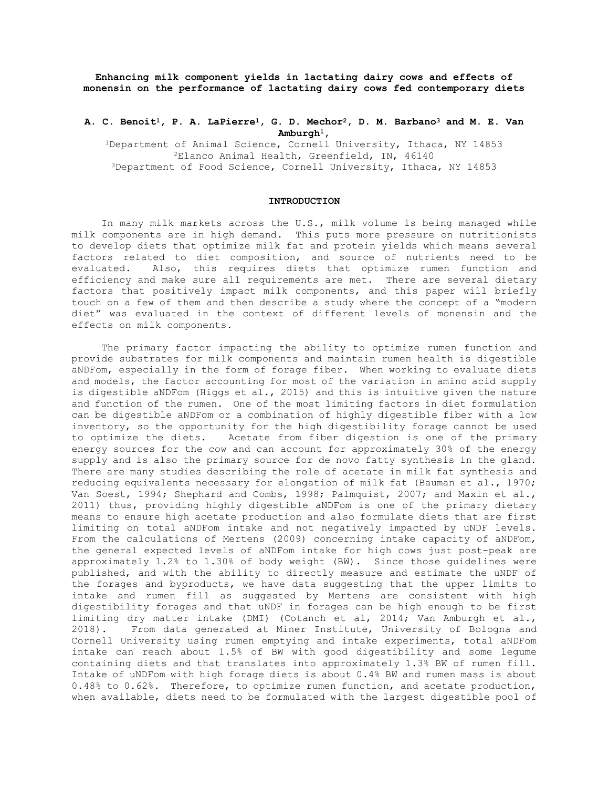**Enhancing milk component yields in lactating dairy cows and effects of monensin on the performance of lactating dairy cows fed contemporary diets**

# **A. C. Benoit1, P. A. LaPierre1, G. D. Mechor2, D. M. Barbano3 and M. E. Van Amburgh1,**

1Department of Animal Science, Cornell University, Ithaca, NY 14853 2Elanco Animal Health, Greenfield, IN, 46140 3Department of Food Science, Cornell University, Ithaca, NY 14853

# **INTRODUCTION**

In many milk markets across the U.S., milk volume is being managed while milk components are in high demand. This puts more pressure on nutritionists to develop diets that optimize milk fat and protein yields which means several factors related to diet composition, and source of nutrients need to be<br>evaluated. Also, this requires diets that optimize rumen function and Also, this requires diets that optimize rumen function and efficiency and make sure all requirements are met. There are several dietary factors that positively impact milk components, and this paper will briefly touch on a few of them and then describe a study where the concept of a "modern diet" was evaluated in the context of different levels of monensin and the effects on milk components.

 The primary factor impacting the ability to optimize rumen function and provide substrates for milk components and maintain rumen health is digestible aNDFom, especially in the form of forage fiber. When working to evaluate diets and models, the factor accounting for most of the variation in amino acid supply is digestible aNDFom (Higgs et al., 2015) and this is intuitive given the nature and function of the rumen. One of the most limiting factors in diet formulation can be digestible aNDFom or a combination of highly digestible fiber with a low inventory, so the opportunity for the high digestibility forage cannot be used to optimize the diets. Acetate from fiber digestion is one of the primary energy sources for the cow and can account for approximately 30% of the energy supply and is also the primary source for de novo fatty synthesis in the gland. There are many studies describing the role of acetate in milk fat synthesis and reducing equivalents necessary for elongation of milk fat (Bauman et al., 1970; Van Soest, 1994; Shephard and Combs, 1998; Palmquist, 2007; and Maxin et al., 2011) thus, providing highly digestible aNDFom is one of the primary dietary means to ensure high acetate production and also formulate diets that are first limiting on total aNDFom intake and not negatively impacted by uNDF levels. From the calculations of Mertens (2009) concerning intake capacity of aNDFom, the general expected levels of aNDFom intake for high cows just post-peak are approximately 1.2% to 1.30% of body weight (BW). Since those guidelines were published, and with the ability to directly measure and estimate the uNDF of the forages and byproducts, we have data suggesting that the upper limits to intake and rumen fill as suggested by Mertens are consistent with high digestibility forages and that uNDF in forages can be high enough to be first limiting dry matter intake (DMI) (Cotanch et al, 2014; Van Amburgh et al., 2018). From data generated at Miner Institute, University of Bologna and From data generated at Miner Institute, University of Bologna and Cornell University using rumen emptying and intake experiments, total aNDFom intake can reach about 1.5% of BW with good digestibility and some legume containing diets and that translates into approximately 1.3% BW of rumen fill. Intake of uNDFom with high forage diets is about 0.4% BW and rumen mass is about 0.48% to 0.62%. Therefore, to optimize rumen function, and acetate production, when available, diets need to be formulated with the largest digestible pool of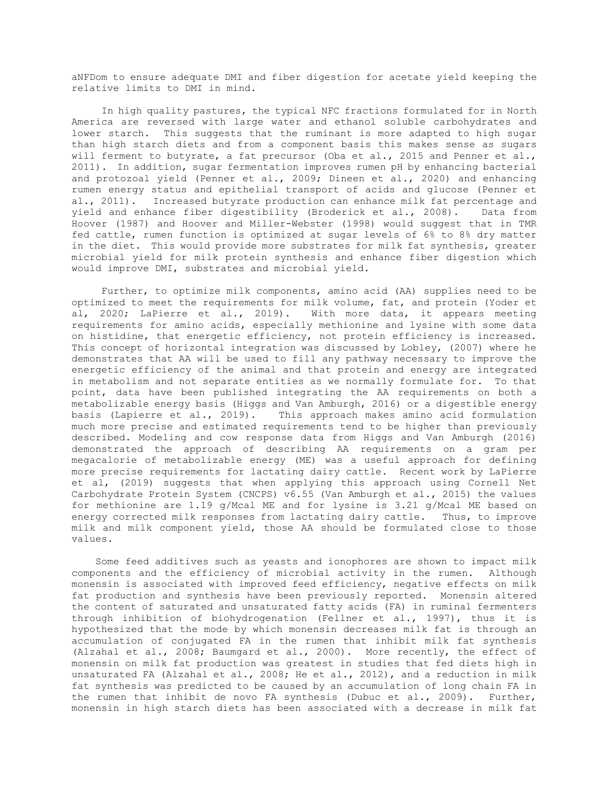aNFDom to ensure adequate DMI and fiber digestion for acetate yield keeping the relative limits to DMI in mind.

 In high quality pastures, the typical NFC fractions formulated for in North America are reversed with large water and ethanol soluble carbohydrates and lower starch. This suggests that the ruminant is more adapted to high sugar than high starch diets and from a component basis this makes sense as sugars will ferment to butyrate, a fat precursor (Oba et al., 2015 and Penner et al., 2011). In addition, sugar fermentation improves rumen pH by enhancing bacterial and protozoal yield (Penner et al., 2009; Dineen et al., 2020) and enhancing rumen energy status and epithelial transport of acids and glucose (Penner et al., 2011). Increased butyrate production can enhance milk fat percentage and yield and enhance fiber digestibility (Broderick et al., 2008). Data from Hoover (1987) and Hoover and Miller-Webster (1998) would suggest that in TMR fed cattle, rumen function is optimized at sugar levels of 6% to 8% dry matter in the diet. This would provide more substrates for milk fat synthesis, greater microbial yield for milk protein synthesis and enhance fiber digestion which would improve DMI, substrates and microbial yield.

 Further, to optimize milk components, amino acid (AA) supplies need to be optimized to meet the requirements for milk volume, fat, and protein (Yoder et al, 2020; LaPierre et al., 2019). With more data, it appears meeting requirements for amino acids, especially methionine and lysine with some data on histidine, that energetic efficiency, not protein efficiency is increased. This concept of horizontal integration was discussed by Lobley, (2007) where he demonstrates that AA will be used to fill any pathway necessary to improve the energetic efficiency of the animal and that protein and energy are integrated in metabolism and not separate entities as we normally formulate for. To that point, data have been published integrating the AA requirements on both a metabolizable energy basis (Higgs and Van Amburgh, 2016) or a digestible energy<br>basis (Lapierre et al., 2019). This approach makes amino acid formulation This approach makes amino acid formulation much more precise and estimated requirements tend to be higher than previously described. Modeling and cow response data from Higgs and Van Amburgh (2016) demonstrated the approach of describing AA requirements on a gram per megacalorie of metabolizable energy (ME) was a useful approach for defining more precise requirements for lactating dairy cattle. Recent work by LaPierre et al, (2019) suggests that when applying this approach using Cornell Net Carbohydrate Protein System (CNCPS) v6.55 (Van Amburgh et al., 2015) the values for methionine are 1.19 g/Mcal ME and for lysine is 3.21 g/Mcal ME based on energy corrected milk responses from lactating dairy cattle. Thus, to improve milk and milk component yield, those AA should be formulated close to those values.

 Some feed additives such as yeasts and ionophores are shown to impact milk components and the efficiency of microbial activity in the rumen. Although monensin is associated with improved feed efficiency, negative effects on milk fat production and synthesis have been previously reported. Monensin altered the content of saturated and unsaturated fatty acids (FA) in ruminal fermenters through inhibition of biohydrogenation (Fellner et al., 1997), thus it is hypothesized that the mode by which monensin decreases milk fat is through an accumulation of conjugated FA in the rumen that inhibit milk fat synthesis (Alzahal et al., 2008; Baumgard et al., 2000). More recently, the effect of monensin on milk fat production was greatest in studies that fed diets high in unsaturated FA (Alzahal et al., 2008; He et al., 2012), and a reduction in milk fat synthesis was predicted to be caused by an accumulation of long chain FA in the rumen that inhibit de novo FA synthesis (Dubuc et al., 2009). Further, monensin in high starch diets has been associated with a decrease in milk fat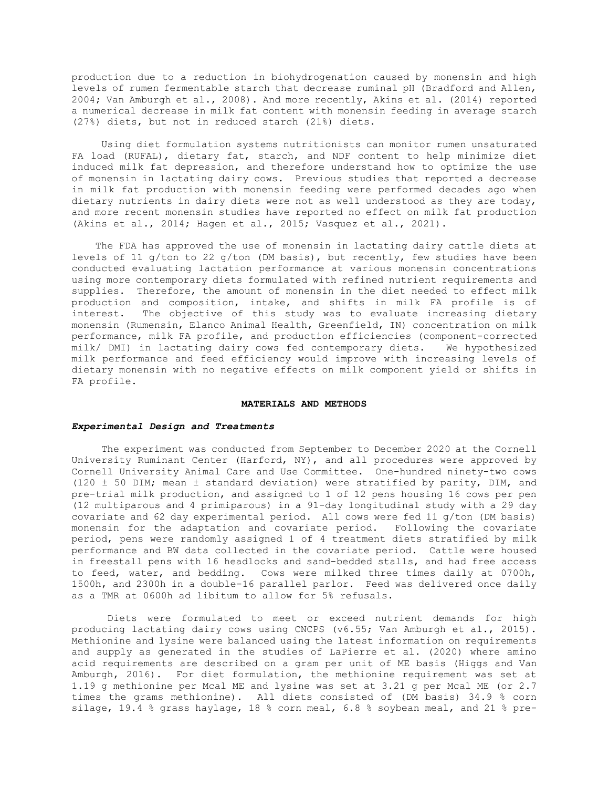production due to a reduction in biohydrogenation caused by monensin and high levels of rumen fermentable starch that decrease ruminal pH (Bradford and Allen, 2004; Van Amburgh et al., 2008). And more recently, Akins et al. (2014) reported a numerical decrease in milk fat content with monensin feeding in average starch (27%) diets, but not in reduced starch (21%) diets.

 Using diet formulation systems nutritionists can monitor rumen unsaturated FA load (RUFAL), dietary fat, starch, and NDF content to help minimize diet induced milk fat depression, and therefore understand how to optimize the use of monensin in lactating dairy cows. Previous studies that reported a decrease in milk fat production with monensin feeding were performed decades ago when dietary nutrients in dairy diets were not as well understood as they are today, and more recent monensin studies have reported no effect on milk fat production (Akins et al., 2014; Hagen et al., 2015; Vasquez et al., 2021).

 The FDA has approved the use of monensin in lactating dairy cattle diets at levels of 11 g/ton to 22 g/ton (DM basis), but recently, few studies have been conducted evaluating lactation performance at various monensin concentrations using more contemporary diets formulated with refined nutrient requirements and supplies. Therefore, the amount of monensin in the diet needed to effect milk production and composition, intake, and shifts in milk FA profile is of The objective of this study was to evaluate increasing dietary monensin (Rumensin, Elanco Animal Health, Greenfield, IN) concentration on milk performance, milk FA profile, and production efficiencies (component-corrected<br>milk/ DMI) in lactating dairy cows fed contemporary diets. We hypothesized milk/ DMI) in lactating dairy cows fed contemporary diets. milk performance and feed efficiency would improve with increasing levels of dietary monensin with no negative effects on milk component yield or shifts in FA profile.

#### **MATERIALS AND METHODS**

## *Experimental Design and Treatments*

 The experiment was conducted from September to December 2020 at the Cornell University Ruminant Center (Harford, NY), and all procedures were approved by Cornell University Animal Care and Use Committee. One-hundred ninety-two cows (120 ± 50 DIM; mean ± standard deviation) were stratified by parity, DIM, and pre-trial milk production, and assigned to 1 of 12 pens housing 16 cows per pen (12 multiparous and 4 primiparous) in a 91-day longitudinal study with a 29 day covariate and 62 day experimental period. All cows were fed 11 g/ton (DM basis) monensin for the adaptation and covariate period. Following the covariate period, pens were randomly assigned 1 of 4 treatment diets stratified by milk performance and BW data collected in the covariate period. Cattle were housed in freestall pens with 16 headlocks and sand-bedded stalls, and had free access to feed, water, and bedding. Cows were milked three times daily at 0700h, 1500h, and 2300h in a double-16 parallel parlor. Feed was delivered once daily as a TMR at 0600h ad libitum to allow for 5% refusals.

 Diets were formulated to meet or exceed nutrient demands for high producing lactating dairy cows using CNCPS (v6.55; Van Amburgh et al., 2015). Methionine and lysine were balanced using the latest information on requirements and supply as generated in the studies of LaPierre et al. (2020) where amino acid requirements are described on a gram per unit of ME basis (Higgs and Van Amburgh, 2016). For diet formulation, the methionine requirement was set at 1.19 g methionine per Mcal ME and lysine was set at 3.21 g per Mcal ME (or 2.7 times the grams methionine). All diets consisted of (DM basis) 34.9 % corn silage, 19.4 % grass haylage, 18 % corn meal, 6.8 % soybean meal, and 21 % pre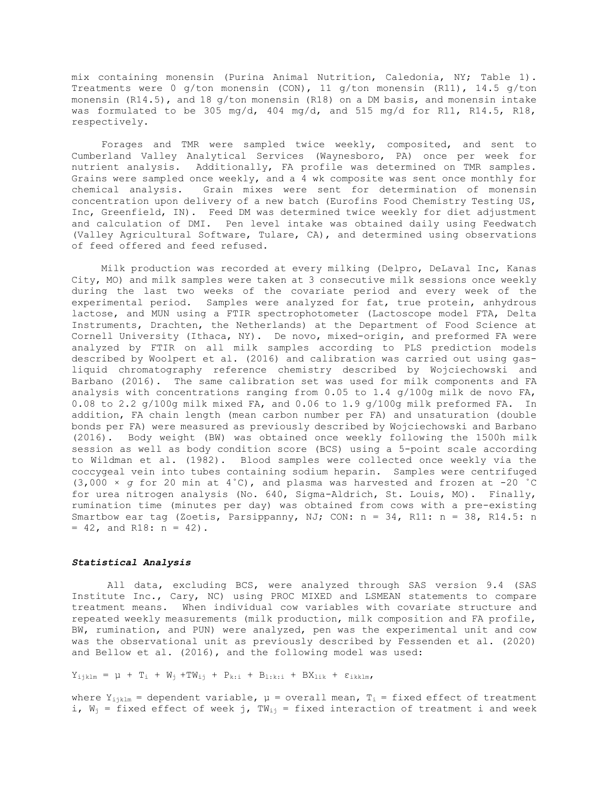mix containing monensin (Purina Animal Nutrition, Caledonia, NY; Table 1). Treatments were 0 g/ton monensin (CON), 11 g/ton monensin (R11), 14.5 g/ton monensin  $(R14.5)$ , and 18  $q/t$ on monensin  $(R18)$  on a DM basis, and monensin intake was formulated to be 305 mg/d, 404 mg/d, and 515 mg/d for R11, R14.5, R18, respectively.

 Forages and TMR were sampled twice weekly, composited, and sent to Cumberland Valley Analytical Services (Waynesboro, PA) once per week for nutrient analysis. Additionally, FA profile was determined on TMR samples. Grains were sampled once weekly, and a 4 wk composite was sent once monthly for chemical analysis. Grain mixes were sent for determination of monensin Grain mixes were sent for determination of monensin concentration upon delivery of a new batch (Eurofins Food Chemistry Testing US, Inc, Greenfield, IN). Feed DM was determined twice weekly for diet adjustment and calculation of DMI. Pen level intake was obtained daily using Feedwatch (Valley Agricultural Software, Tulare, CA), and determined using observations of feed offered and feed refused.

 Milk production was recorded at every milking (Delpro, DeLaval Inc, Kanas City, MO) and milk samples were taken at 3 consecutive milk sessions once weekly during the last two weeks of the covariate period and every week of the experimental period. Samples were analyzed for fat, true protein, anhydrous lactose, and MUN using a FTIR spectrophotometer (Lactoscope model FTA, Delta Instruments, Drachten, the Netherlands) at the Department of Food Science at Cornell University (Ithaca, NY). De novo, mixed-origin, and preformed FA were analyzed by FTIR on all milk samples according to PLS prediction models described by Woolpert et al. (2016) and calibration was carried out using gasliquid chromatography reference chemistry described by Wojciechowski and Barbano (2016). The same calibration set was used for milk components and FA analysis with concentrations ranging from 0.05 to 1.4 g/100g milk de novo FA, 0.08 to 2.2 g/100g milk mixed FA, and 0.06 to 1.9 g/100g milk preformed FA. In addition, FA chain length (mean carbon number per FA) and unsaturation (double bonds per FA) were measured as previously described by Wojciechowski and Barbano (2016). Body weight (BW) was obtained once weekly following the 1500h milk session as well as body condition score (BCS) using a 5-point scale according to Wildman et al. (1982). Blood samples were collected once weekly via the coccygeal vein into tubes containing sodium heparin. Samples were centrifuged (3,000 × *g* for 20 min at 4˚C), and plasma was harvested and frozen at -20 ˚C for urea nitrogen analysis (No. 640, Sigma-Aldrich, St. Louis, MO). Finally, rumination time (minutes per day) was obtained from cows with a pre-existing Smartbow ear tag (Zoetis, Parsippanny, NJ; CON: n = 34, R11: n = 38, R14.5: n  $= 42$ , and R18:  $n = 42$ ).

## *Statistical Analysis*

 All data, excluding BCS, were analyzed through SAS version 9.4 (SAS Institute Inc., Cary, NC) using PROC MIXED and LSMEAN statements to compare treatment means. When individual cow variables with covariate structure and repeated weekly measurements (milk production, milk composition and FA profile, BW, rumination, and PUN) were analyzed, pen was the experimental unit and cow was the observational unit as previously described by Fessenden et al. (2020) and Bellow et al. (2016), and the following model was used:

 $Y_{i,jklm} = μ + T_i + W_j + TW_{i,j} + P_{k;i} + B_{1:k;i} + BX_{1ik} + ε_{ikklm}$ 

where  $Y_{i,jklm}$  = dependent variable,  $\mu$  = overall mean,  $T_i$  = fixed effect of treatment i,  $W_j$  = fixed effect of week j, T $W_{i,j}$  = fixed interaction of treatment i and week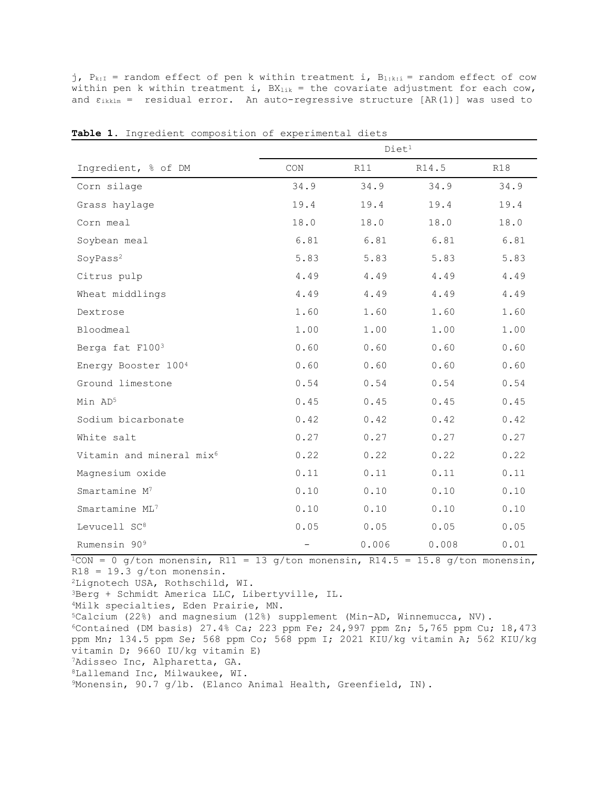j,  $P_{k:I}$  = random effect of pen k within treatment i,  $B_{1:k:i}$  = random effect of cow within pen k within treatment i,  $BX_{1ik} =$  the covariate adjustment for each cow, and  $\epsilon_{ikklm}$  = residual error. An auto-regressive structure [AR(1)] was used to

|                                      | Diet <sup>1</sup>           |       |       |      |  |  |
|--------------------------------------|-----------------------------|-------|-------|------|--|--|
| Ingredient, % of DM                  | $\mathop{\rm CON}\nolimits$ | R11   | R14.5 | R18  |  |  |
| Corn silage                          | 34.9                        | 34.9  | 34.9  | 34.9 |  |  |
| Grass haylage                        | 19.4                        | 19.4  | 19.4  | 19.4 |  |  |
| Corn meal                            | 18.0                        | 18.0  | 18.0  | 18.0 |  |  |
| Soybean meal                         | 6.81                        | 6.81  | 6.81  | 6.81 |  |  |
| SoyPass <sup>2</sup>                 | 5.83                        | 5.83  | 5.83  | 5.83 |  |  |
| Citrus pulp                          | 4.49                        | 4.49  | 4.49  | 4.49 |  |  |
| Wheat middlings                      | 4.49                        | 4.49  | 4.49  | 4.49 |  |  |
| Dextrose                             | 1.60                        | 1.60  | 1.60  | 1.60 |  |  |
| Bloodmeal                            | 1.00                        | 1.00  | 1.00  | 1.00 |  |  |
| Berga fat F1003                      | 0.60                        | 0.60  | 0.60  | 0.60 |  |  |
| Energy Booster 1004                  | 0.60                        | 0.60  | 0.60  | 0.60 |  |  |
| Ground limestone                     | 0.54                        | 0.54  | 0.54  | 0.54 |  |  |
| Min AD5                              | 0.45                        | 0.45  | 0.45  | 0.45 |  |  |
| Sodium bicarbonate                   | 0.42                        | 0.42  | 0.42  | 0.42 |  |  |
| White salt                           | 0.27                        | 0.27  | 0.27  | 0.27 |  |  |
| Vitamin and mineral mix <sup>6</sup> | 0.22                        | 0.22  | 0.22  | 0.22 |  |  |
| Magnesium oxide                      | 0.11                        | 0.11  | 0.11  | 0.11 |  |  |
| Smartamine M <sup>7</sup>            | 0.10                        | 0.10  | 0.10  | 0.10 |  |  |
| Smartamine ML7                       | 0.10                        | 0.10  | 0.10  | 0.10 |  |  |
| Levucell SC <sup>8</sup>             | 0.05                        | 0.05  | 0.05  | 0.05 |  |  |
| Rumensin 90 <sup>9</sup>             | $\qquad \qquad -$           | 0.006 | 0.008 | 0.01 |  |  |

Table 1. Ingredient composition of experimental diets

 $\frac{1}{1}$ CON = 0 g/ton monensin, R11 = 13 g/ton monensin, R14.5 = 15.8 g/ton monensin,  $R18 = 19.3$  g/ton monensin.

2Lignotech USA, Rothschild, WI.

3Berg + Schmidt America LLC, Libertyville, IL.

4Milk specialties, Eden Prairie, MN.

5Calcium (22%) and magnesium (12%) supplement (Min-AD, Winnemucca, NV).  $6$ Contained (DM basis) 27.4% Ca; 223 ppm Fe; 24,997 ppm Zn; 5,765 ppm Cu; 18,473

ppm Mn; 134.5 ppm Se; 568 ppm Co; 568 ppm I; 2021 KIU/kg vitamin A; 562 KIU/kg vitamin D; 9660 IU/kg vitamin E)

7Adisseo Inc, Alpharetta, GA.

8Lallemand Inc, Milwaukee, WI.

9Monensin, 90.7 g/lb. (Elanco Animal Health, Greenfield, IN).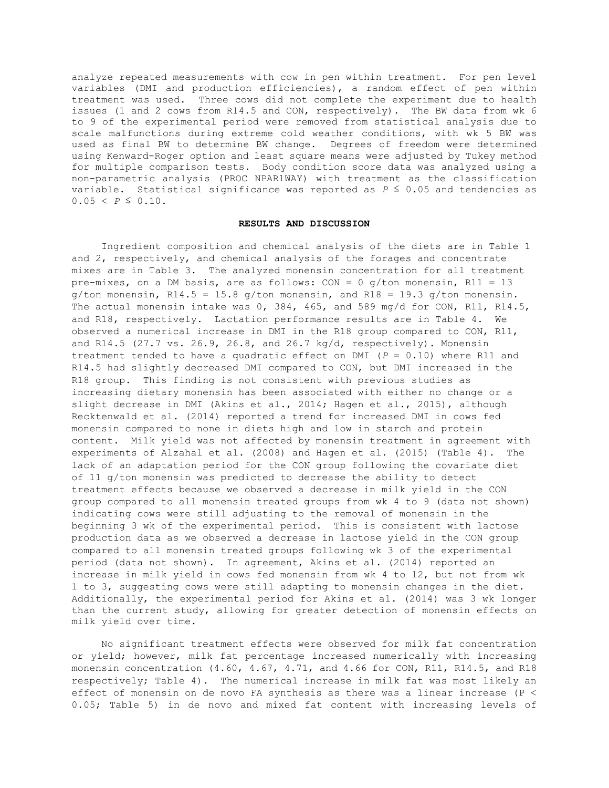analyze repeated measurements with cow in pen within treatment. For pen level variables (DMI and production efficiencies), a random effect of pen within treatment was used. Three cows did not complete the experiment due to health issues (1 and 2 cows from R14.5 and CON, respectively). The BW data from wk 6 to 9 of the experimental period were removed from statistical analysis due to scale malfunctions during extreme cold weather conditions, with wk 5 BW was used as final BW to determine BW change. Degrees of freedom were determined using Kenward-Roger option and least square means were adjusted by Tukey method for multiple comparison tests. Body condition score data was analyzed using a non-parametric analysis (PROC NPAR1WAY) with treatment as the classification variable. Statistical significance was reported as  $P \leq 0.05$  and tendencies as  $0.05 < p \leq 0.10$ .

#### **RESULTS AND DISCUSSION**

Ingredient composition and chemical analysis of the diets are in Table 1 and 2, respectively, and chemical analysis of the forages and concentrate mixes are in Table 3. The analyzed monensin concentration for all treatment pre-mixes, on a DM basis, are as follows:  $CON = 0$  q/ton monensin,  $R11 = 13$  $g/t$ on monensin, R14.5 = 15.8  $g/t$ on monensin, and R18 = 19.3  $g/t$ on monensin. The actual monensin intake was 0, 384, 465, and 589 mg/d for CON, R11, R14.5, and R18, respectively. Lactation performance results are in Table 4. We observed a numerical increase in DMI in the R18 group compared to CON, R11, and R14.5 (27.7 vs. 26.9, 26.8, and 26.7 kg/d, respectively). Monensin treatment tended to have a quadratic effect on DMI (*P* = 0.10) where R11 and R14.5 had slightly decreased DMI compared to CON, but DMI increased in the R18 group. This finding is not consistent with previous studies as increasing dietary monensin has been associated with either no change or a slight decrease in DMI (Akins et al., 2014; Hagen et al., 2015), although Recktenwald et al. (2014) reported a trend for increased DMI in cows fed monensin compared to none in diets high and low in starch and protein content. Milk yield was not affected by monensin treatment in agreement with experiments of Alzahal et al. (2008) and Hagen et al. (2015) (Table 4). The lack of an adaptation period for the CON group following the covariate diet of 11 g/ton monensin was predicted to decrease the ability to detect treatment effects because we observed a decrease in milk yield in the CON group compared to all monensin treated groups from wk 4 to 9 (data not shown) indicating cows were still adjusting to the removal of monensin in the beginning 3 wk of the experimental period. This is consistent with lactose production data as we observed a decrease in lactose yield in the CON group compared to all monensin treated groups following wk 3 of the experimental period (data not shown). In agreement, Akins et al. (2014) reported an increase in milk yield in cows fed monensin from wk 4 to 12, but not from wk 1 to 3, suggesting cows were still adapting to monensin changes in the diet. Additionally, the experimental period for Akins et al. (2014) was 3 wk longer than the current study, allowing for greater detection of monensin effects on milk yield over time.

 No significant treatment effects were observed for milk fat concentration or yield; however, milk fat percentage increased numerically with increasing monensin concentration (4.60, 4.67, 4.71, and 4.66 for CON, R11, R14.5, and R18 respectively; Table 4). The numerical increase in milk fat was most likely an effect of monensin on de novo FA synthesis as there was a linear increase (P < 0.05; Table 5) in de novo and mixed fat content with increasing levels of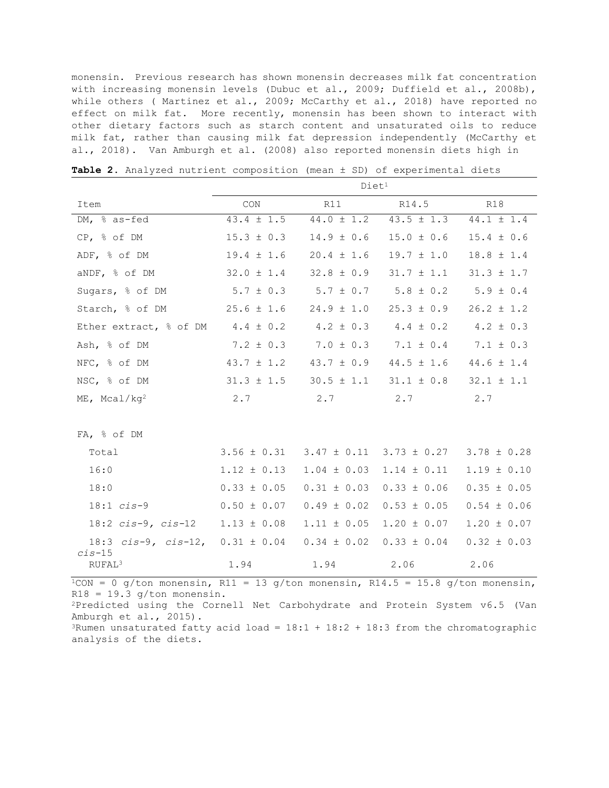monensin. Previous research has shown monensin decreases milk fat concentration with increasing monensin levels (Dubuc et al., 2009; Duffield et al., 2008b), while others ( Martinez et al., 2009; McCarthy et al., 2018) have reported no effect on milk fat. More recently, monensin has been shown to interact with other dietary factors such as starch content and unsaturated oils to reduce milk fat, rather than causing milk fat depression independently (McCarthy et al., 2018). Van Amburgh et al. (2008) also reported monensin diets high in

|                                | Diet <sup>1</sup> |                 |                 |                 |  |  |  |  |
|--------------------------------|-------------------|-----------------|-----------------|-----------------|--|--|--|--|
| Item                           | CON               | R11             | R14.5           | <b>R18</b>      |  |  |  |  |
| DM, % as-fed                   | $43.4 \pm 1.5$    | $44.0 \pm 1.2$  | $43.5 \pm 1.3$  | $44.1 \pm 1.4$  |  |  |  |  |
| CP, % of DM                    | $15.3 \pm 0.3$    | $14.9 \pm 0.6$  | $15.0 \pm 0.6$  | $15.4 \pm 0.6$  |  |  |  |  |
| ADF, % of DM                   | $19.4 \pm 1.6$    | $20.4 \pm 1.6$  | $19.7 \pm 1.0$  | $18.8 \pm 1.4$  |  |  |  |  |
| aNDF, % of DM                  | $32.0 \pm 1.4$    | $32.8 \pm 0.9$  | $31.7 \pm 1.1$  | $31.3 \pm 1.7$  |  |  |  |  |
| Sugars, % of DM                | $5.7 \pm 0.3$     | $5.7 \pm 0.7$   | $5.8 \pm 0.2$   | $5.9 \pm 0.4$   |  |  |  |  |
| Starch, % of DM                | $25.6 \pm 1.6$    | $24.9 \pm 1.0$  | $25.3 \pm 0.9$  | $26.2 \pm 1.2$  |  |  |  |  |
| Ether extract, % of DM         | $4.4 \pm 0.2$     | $4.2 \pm 0.3$   | $4.4 \pm 0.2$   | $4.2 \pm 0.3$   |  |  |  |  |
| Ash, % of DM                   | $7.2 \pm 0.3$     | $7.0 \pm 0.3$   | $7.1 \pm 0.4$   | $7.1 \pm 0.3$   |  |  |  |  |
| NFC, % of DM                   | $43.7 \pm 1.2$    | $43.7 \pm 0.9$  | $44.5 \pm 1.6$  | $44.6 \pm 1.4$  |  |  |  |  |
| NSC, % of DM                   | $31.3 \pm 1.5$    | $30.5 \pm 1.1$  | $31.1 \pm 0.8$  | $32.1 \pm 1.1$  |  |  |  |  |
| $ME$ , Mcal/kq <sup>2</sup>    | 2.7               | 2.7             | 2.7             | 2.7             |  |  |  |  |
|                                |                   |                 |                 |                 |  |  |  |  |
| FA, % of DM                    |                   |                 |                 |                 |  |  |  |  |
| Total                          | $3.56 \pm 0.31$   | $3.47 \pm 0.11$ | $3.73 \pm 0.27$ | $3.78 \pm 0.28$ |  |  |  |  |
| 16:0                           | $1.12 \pm 0.13$   | $1.04 \pm 0.03$ | $1.14 \pm 0.11$ | $1.19 \pm 0.10$ |  |  |  |  |
| 18:0                           | $0.33 \pm 0.05$   | $0.31 \pm 0.03$ | $0.33 \pm 0.06$ | $0.35 \pm 0.05$ |  |  |  |  |
| $18:1$ $cis-9$                 | $0.50 \pm 0.07$   | $0.49 \pm 0.02$ | $0.53 \pm 0.05$ | $0.54 \pm 0.06$ |  |  |  |  |
| $18:2$ cis-9, cis-12           | $1.13 \pm 0.08$   | $1.11 \pm 0.05$ | $1.20 \pm 0.07$ | $1.20 \pm 0.07$ |  |  |  |  |
| $18:3$ cis-9, cis-12,          | $0.31 \pm 0.04$   | $0.34 \pm 0.02$ | $0.33 \pm 0.04$ | $0.32 \pm 0.03$ |  |  |  |  |
| $cis-15$<br>RUFAL <sup>3</sup> | 1.94              | 1.94            | 2.06            | 2.06            |  |  |  |  |

**Table 2.** Analyzed nutrient composition (mean ± SD) of experimental diets

 $1$ CON = 0 g/ton monensin, R11 = 13 g/ton monensin, R14.5 = 15.8 g/ton monensin,  $R18 = 19.3$  g/ton monensin.

2Predicted using the Cornell Net Carbohydrate and Protein System v6.5 (Van Amburgh et al., 2015).

<sup>3</sup>Rumen unsaturated fatty acid load =  $18:1 + 18:2 + 18:3$  from the chromatographic analysis of the diets.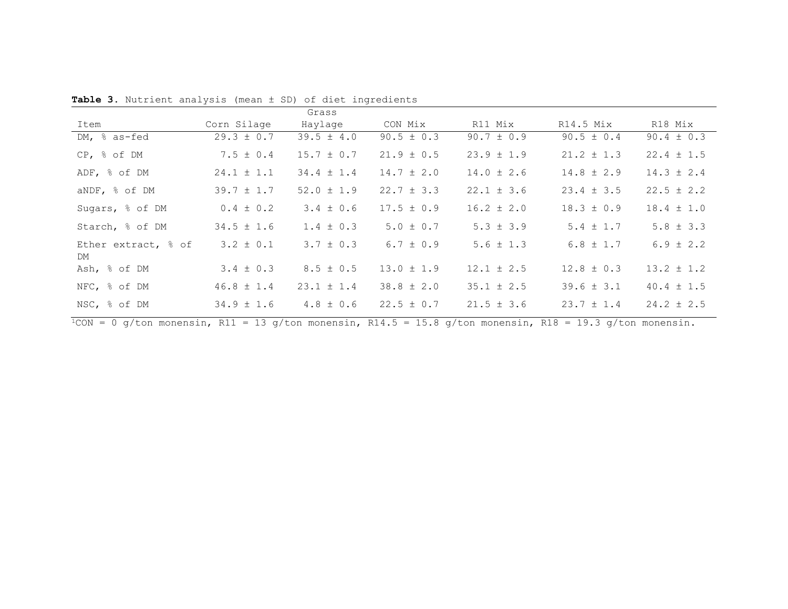|                           |                | Grass          |                |                |                |                |
|---------------------------|----------------|----------------|----------------|----------------|----------------|----------------|
| Item                      | Corn Silage    | Haylage        | CON Mix        | R11 Mix        | $R14.5$ Mix    | R18 Mix        |
| DM, $\frac{6}{6}$ as-fed  | $29.3 \pm 0.7$ | $39.5 \pm 4.0$ | $90.5 \pm 0.3$ | $90.7 \pm 0.9$ | $90.5 \pm 0.4$ | $90.4 \pm 0.3$ |
| $CP,$ % of DM             | $7.5 \pm 0.4$  | $15.7 \pm 0.7$ | $21.9 \pm 0.5$ | $23.9 \pm 1.9$ | $21.2 \pm 1.3$ | $22.4 \pm 1.5$ |
| ADF, % of DM              | $24.1 \pm 1.1$ | $34.4 \pm 1.4$ | $14.7 \pm 2.0$ | $14.0 \pm 2.6$ | $14.8 \pm 2.9$ | $14.3 \pm 2.4$ |
| aNDF, % of DM             | $39.7 \pm 1.7$ | $52.0 \pm 1.9$ | $22.7 \pm 3.3$ | $22.1 \pm 3.6$ | $23.4 \pm 3.5$ | $22.5 \pm 2.2$ |
| Sugars, % of DM           | $0.4 \pm 0.2$  | $3.4 \pm 0.6$  | $17.5 \pm 0.9$ | $16.2 \pm 2.0$ | $18.3 \pm 0.9$ | $18.4 \pm 1.0$ |
| Starch, % of DM           | $34.5 \pm 1.6$ | $1.4 \pm 0.3$  | $5.0 \pm 0.7$  | $5.3 \pm 3.9$  | $5.4 \pm 1.7$  | $5.8 \pm 3.3$  |
| Ether extract, % of<br>DM | $3.2 \pm 0.1$  | $3.7 \pm 0.3$  | $6.7 \pm 0.9$  | $5.6 \pm 1.3$  | $6.8 \pm 1.7$  | $6.9 \pm 2.2$  |
| Ash, % of DM              | $3.4 \pm 0.3$  | $8.5 \pm 0.5$  | $13.0 \pm 1.9$ | $12.1 \pm 2.5$ | $12.8 \pm 0.3$ | $13.2 \pm 1.2$ |
| NFC, % of DM              | $46.8 \pm 1.4$ | $23.1 \pm 1.4$ | $38.8 \pm 2.0$ | $35.1 \pm 2.5$ | $39.6 \pm 3.1$ | $40.4 \pm 1.5$ |
| NSC, % of DM              | $34.9 \pm 1.6$ | $4.8 \pm 0.6$  | $22.5 \pm 0.7$ | $21.5 \pm 3.6$ | $23.7 \pm 1.4$ | $24.2 \pm 2.5$ |

**Table 3.** Nutrient analysis (mean ± SD) of diet ingredients

 $\frac{1}{1}$ CON = 0 g/ton monensin, R11 = 13 g/ton monensin, R14.5 = 15.8 g/ton monensin, R18 = 19.3 g/ton monensin.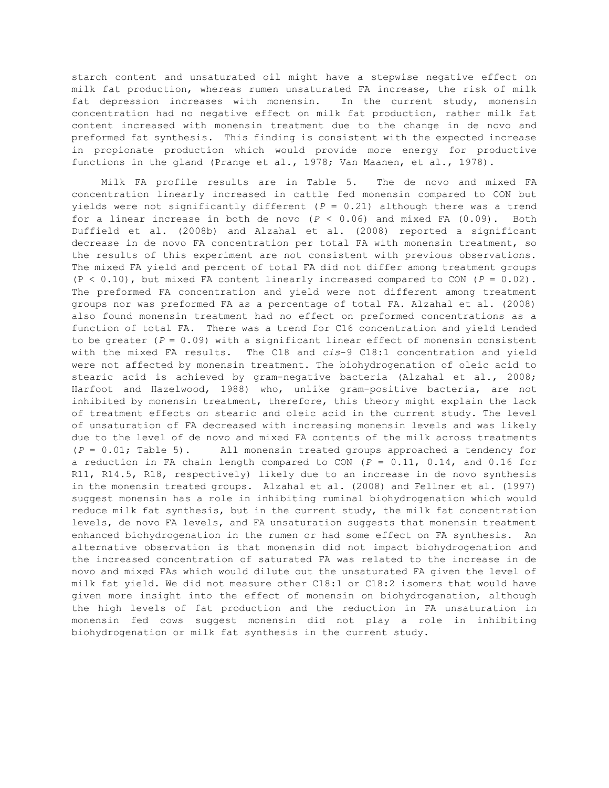starch content and unsaturated oil might have a stepwise negative effect on milk fat production, whereas rumen unsaturated FA increase, the risk of milk fat depression increases with monensin. In the current study, monensin concentration had no negative effect on milk fat production, rather milk fat content increased with monensin treatment due to the change in de novo and preformed fat synthesis. This finding is consistent with the expected increase in propionate production which would provide more energy for productive functions in the gland (Prange et al., 1978; Van Maanen, et al., 1978).

 Milk FA profile results are in Table 5. The de novo and mixed FA concentration linearly increased in cattle fed monensin compared to CON but yields were not significantly different (*P* = 0.21) although there was a trend for a linear increase in both de novo  $(P < 0.06)$  and mixed FA  $(0.09)$ . Both Duffield et al. (2008b) and Alzahal et al. (2008) reported a significant decrease in de novo FA concentration per total FA with monensin treatment, so the results of this experiment are not consistent with previous observations. The mixed FA yield and percent of total FA did not differ among treatment groups (P < 0.10), but mixed FA content linearly increased compared to CON (*P* = 0.02). The preformed FA concentration and yield were not different among treatment groups nor was preformed FA as a percentage of total FA. Alzahal et al. (2008) also found monensin treatment had no effect on preformed concentrations as a function of total FA. There was a trend for C16 concentration and yield tended to be greater  $(P = 0.09)$  with a significant linear effect of monensin consistent with the mixed FA results. The C18 and *cis*-9 C18:1 concentration and yield were not affected by monensin treatment. The biohydrogenation of oleic acid to stearic acid is achieved by gram-negative bacteria (Alzahal et al., 2008; Harfoot and Hazelwood, 1988) who, unlike gram-positive bacteria, are not inhibited by monensin treatment, therefore, this theory might explain the lack of treatment effects on stearic and oleic acid in the current study. The level of unsaturation of FA decreased with increasing monensin levels and was likely due to the level of de novo and mixed FA contents of the milk across treatments (*P* = 0.01; Table 5). All monensin treated groups approached a tendency for a reduction in FA chain length compared to CON (*P* = 0.11, 0.14, and 0.16 for R11, R14.5, R18, respectively) likely due to an increase in de novo synthesis in the monensin treated groups. Alzahal et al. (2008) and Fellner et al. (1997) suggest monensin has a role in inhibiting ruminal biohydrogenation which would reduce milk fat synthesis, but in the current study, the milk fat concentration levels, de novo FA levels, and FA unsaturation suggests that monensin treatment enhanced biohydrogenation in the rumen or had some effect on FA synthesis. An alternative observation is that monensin did not impact biohydrogenation and the increased concentration of saturated FA was related to the increase in de novo and mixed FAs which would dilute out the unsaturated FA given the level of milk fat yield. We did not measure other C18:1 or C18:2 isomers that would have given more insight into the effect of monensin on biohydrogenation, although the high levels of fat production and the reduction in FA unsaturation in monensin fed cows suggest monensin did not play a role in inhibiting biohydrogenation or milk fat synthesis in the current study.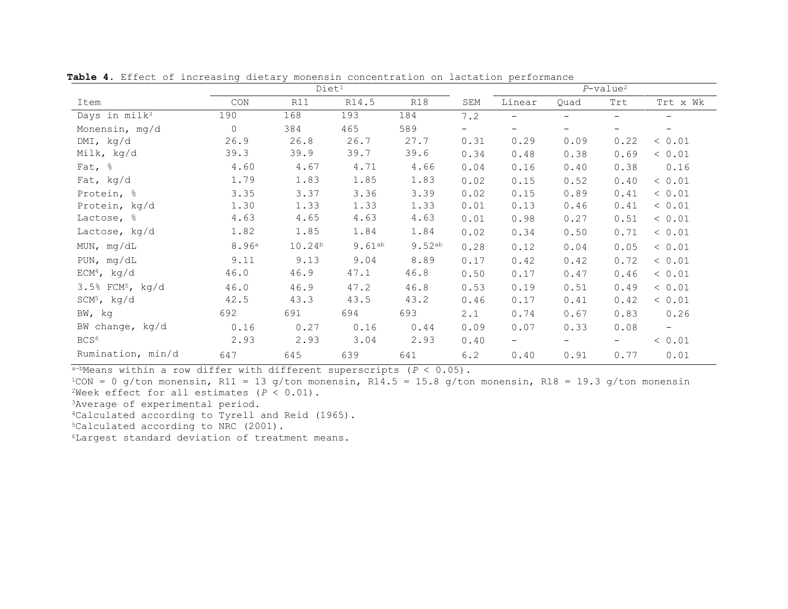|                                | Diet <sup>1</sup>           |             |             |             | $P$ -value <sup>2</sup> |                          |                          |      |                          |
|--------------------------------|-----------------------------|-------------|-------------|-------------|-------------------------|--------------------------|--------------------------|------|--------------------------|
| Item                           | $\mathop{\rm CON}\nolimits$ | R11         | R14.5       | R18         | SEM                     | Linear                   | Quad                     | Trt  | Trt x Wk                 |
| Days in milk <sup>3</sup>      | 190                         | 168         | 193         | 184         | 7.2                     | $\qquad \qquad -$        | $\overline{\phantom{0}}$ | $-$  | $-$                      |
| Monensin, mg/d                 | $\Omega$                    | 384         | 465         | 589         | -                       | $\overline{\phantom{0}}$ | $\qquad \qquad -$        | -    | $\overline{\phantom{m}}$ |
| $DMI$ , kg/d                   | 26.9                        | 26.8        | 26.7        | 27.7        | 0.31                    | 0.29                     | 0.09                     | 0.22 | < 0.01                   |
| Milk, kg/d                     | 39.3                        | 39.9        | 39.7        | 39.6        | 0.34                    | 0.48                     | 0.38                     | 0.69 | < 0.01                   |
| Fat, $\frac{6}{6}$             | 4.60                        | 4.67        | 4.71        | 4.66        | 0.04                    | 0.16                     | 0.40                     | 0.38 | 0.16                     |
| Fat, kg/d                      | 1.79                        | 1.83        | 1.85        | 1.83        | 0.02                    | 0.15                     | 0.52                     | 0.40 | < 0.01                   |
| Protein, %                     | 3.35                        | 3.37        | 3.36        | 3.39        | 0.02                    | 0.15                     | 0.89                     | 0.41 | < 0.01                   |
| Protein, kg/d                  | 1.30                        | 1.33        | 1.33        | 1.33        | 0.01                    | 0.13                     | 0.46                     | 0.41 | < 0.01                   |
| Lactose, %                     | 4.63                        | 4.65        | 4.63        | 4.63        | 0.01                    | 0.98                     | 0.27                     | 0.51 | < 0.01                   |
| Lactose, kg/d                  | 1.82                        | 1.85        | 1.84        | 1.84        | 0.02                    | 0.34                     | 0.50                     | 0.71 | < 0.01                   |
| MUN, $mg/dL$                   | 8.96 <sup>a</sup>           | $10.24^{b}$ | $9.61^{ab}$ | $9.52^{ab}$ | 0.28                    | 0.12                     | 0.04                     | 0.05 | < 0.01                   |
| PUN, mg/dL                     | 9.11                        | 9.13        | 9.04        | 8.89        | 0.17                    | 0.42                     | 0.42                     | 0.72 | < 0.01                   |
| $ECM4$ , kg/d                  | 46.0                        | 46.9        | 47.1        | 46.8        | 0.50                    | 0.17                     | 0.47                     | 0.46 | < 0.01                   |
| $3.5%$ FCM <sup>5</sup> , kg/d | 46.0                        | 46.9        | 47.2        | 46.8        | 0.53                    | 0.19                     | 0.51                     | 0.49 | < 0.01                   |
| $SCM5$ , kg/d                  | 42.5                        | 43.3        | 43.5        | 43.2        | 0.46                    | 0.17                     | 0.41                     | 0.42 | < 0.01                   |
| BW, kg                         | 692                         | 691         | 694         | 693         | 2.1                     | 0.74                     | 0.67                     | 0.83 | 0.26                     |
| BW change, kg/d                | 0.16                        | 0.27        | 0.16        | 0.44        | 0.09                    | 0.07                     | 0.33                     | 0.08 | $\overline{\phantom{0}}$ |
| BCS <sup>6</sup>               | 2.93                        | 2.93        | 3.04        | 2.93        | 0.40                    | $-$                      | $\qquad \qquad -$        | $-$  | < 0.01                   |
| Rumination, min/d              | 647                         | 645         | 639         | 641         | 6.2                     | 0.40                     | 0.91                     | 0.77 | 0.01                     |

**Table 4.** Effect of increasing dietary monensin concentration on lactation performance

 $a$ -bMeans within a row differ with different superscripts ( $P < 0.05$ ).

 $1$ CON = 0 g/ton monensin, R11 = 13 g/ton monensin, R14.5 = 15.8 g/ton monensin, R18 = 19.3 g/ton monensin <sup>2</sup>Week effect for all estimates  $(P < 0.01)$ .

3Average of experimental period.

4Calculated according to Tyrell and Reid (1965).

5Calculated according to NRC (2001).

6Largest standard deviation of treatment means.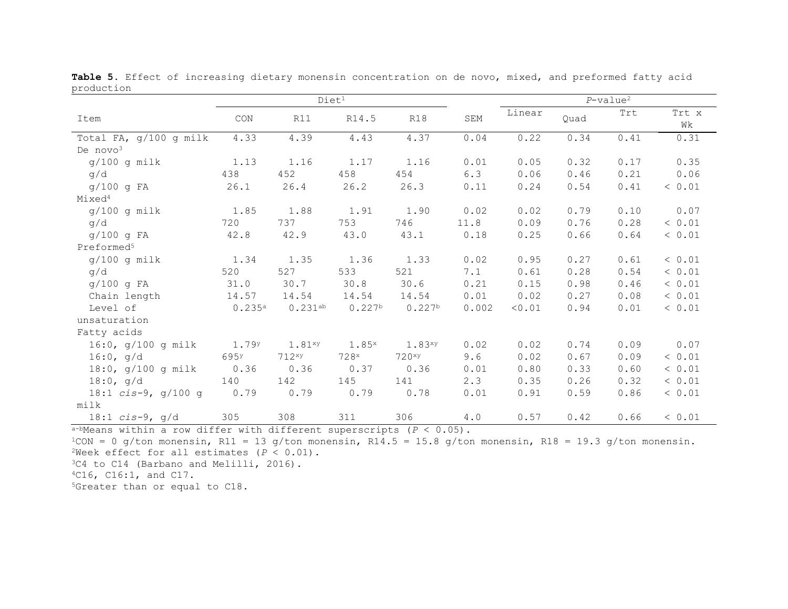|                        | Diet <sup>1</sup> |             |                    |                    | $P$ -value <sup>2</sup> |        |      |      |             |
|------------------------|-------------------|-------------|--------------------|--------------------|-------------------------|--------|------|------|-------------|
| Item                   | CON               | R11         | R14.5              | R18                | SEM                     | Linear | Quad | Trt  | Trt x<br>Wk |
| Total FA, g/100 g milk | 4.33              | 4.39        | 4.43               | 4.37               | 0.04                    | 0.22   | 0.34 | 0.41 | 0.31        |
| De $novo3$             |                   |             |                    |                    |                         |        |      |      |             |
| $g/100$ g milk         | 1.13              | 1.16        | 1.17               | 1.16               | 0.01                    | 0.05   | 0.32 | 0.17 | 0.35        |
| q/d                    | 438               | 452         | 458                | 454                | 6.3                     | 0.06   | 0.46 | 0.21 | 0.06        |
| $g/100$ g FA           | 26.1              | 26.4        | 26.2               | 26.3               | 0.11                    | 0.24   | 0.54 | 0.41 | < 0.01      |
| Mixed <sup>4</sup>     |                   |             |                    |                    |                         |        |      |      |             |
| $g/100$ g milk         | 1.85              | 1.88        | 1.91               | 1.90               | 0.02                    | 0.02   | 0.79 | 0.10 | 0.07        |
| q/d                    | 720               | 737         | 753                | 746                | 11.8                    | 0.09   | 0.76 | 0.28 | < 0.01      |
| $g/100$ g FA           | 42.8              | 42.9        | 43.0               | 43.1               | 0.18                    | 0.25   | 0.66 | 0.64 | < 0.01      |
| Preformed <sup>5</sup> |                   |             |                    |                    |                         |        |      |      |             |
| $g/100$ g milk         | 1.34              | 1.35        | 1.36               | 1.33               | 0.02                    | 0.95   | 0.27 | 0.61 | < 0.01      |
| q/d                    | 520               | 527         | 533                | 521                | 7.1                     | 0.61   | 0.28 | 0.54 | < 0.01      |
| g/100 g FA             | 31.0              | 30.7        | 30.8               | 30.6               | 0.21                    | 0.15   | 0.98 | 0.46 | < 0.01      |
| Chain length           | 14.57             | 14.54       | 14.54              | 14.54              | 0.01                    | 0.02   | 0.27 | 0.08 | < 0.01      |
| Level of               | 0.235a            | 0.231ab     | 0.227 <sup>b</sup> | 0.227 <sup>b</sup> | 0.002                   | < 0.01 | 0.94 | 0.01 | < 0.01      |
| unsaturation           |                   |             |                    |                    |                         |        |      |      |             |
| Fatty acids            |                   |             |                    |                    |                         |        |      |      |             |
| 16:0, $g/100 g$ milk   | 1.79 <sup>y</sup> | $1.81^{xy}$ | $1.85^x$           | 1.83xy             | 0.02                    | 0.02   | 0.74 | 0.09 | 0.07        |
| 16:0, q/d              | 695 <sup>y</sup>  | 712xy       | 728x               | 720xy              | 9.6                     | 0.02   | 0.67 | 0.09 | < 0.01      |
| 18:0, $g/100 g$ milk   | 0.36              | 0.36        | 0.37               | 0.36               | 0.01                    | 0.80   | 0.33 | 0.60 | < 0.01      |
| $18:0$ , g/d           | 140               | 142         | 145                | 141                | 2.3                     | 0.35   | 0.26 | 0.32 | < 0.01      |
| 18:1 $cis-9$ , g/100 g | 0.79              | 0.79        | 0.79               | 0.78               | 0.01                    | 0.91   | 0.59 | 0.86 | < 0.01      |
| milk                   |                   |             |                    |                    |                         |        |      |      |             |
| $18:1$ cis-9, g/d      | 305               | 308         | 311                | 306                | 4.0                     | 0.57   | 0.42 | 0.66 | < 0.01      |

**Table 5.** Effect of increasing dietary monensin concentration on de novo, mixed, and preformed fatty acid production

a-bMeans within a row differ with different superscripts (*P* < 0.05).

 $1$ CON = 0 g/ton monensin, R11 = 13 g/ton monensin, R14.5 = 15.8 g/ton monensin, R18 = 19.3 g/ton monensin. <sup>2</sup>Week effect for all estimates  $(P < 0.01)$ .

3C4 to C14 (Barbano and Melilli, 2016).

4C16, C16:1, and C17.

5Greater than or equal to C18.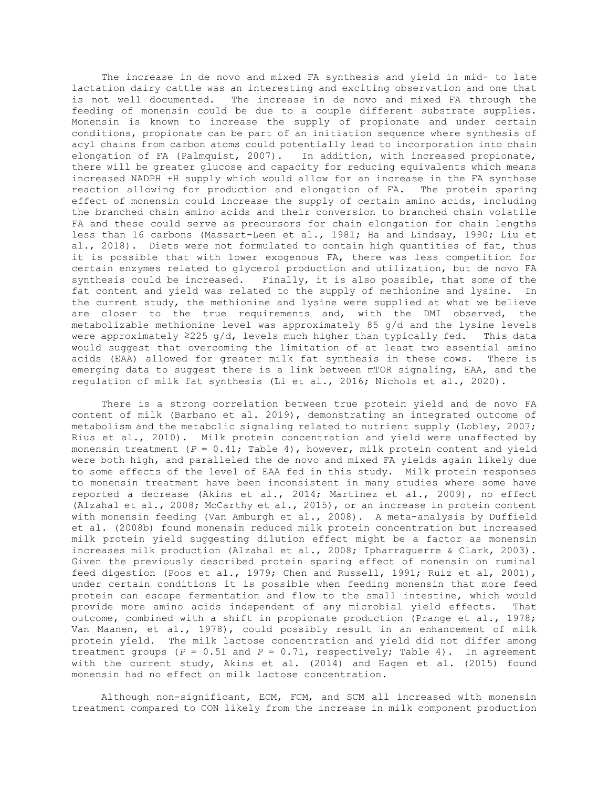The increase in de novo and mixed FA synthesis and yield in mid- to late lactation dairy cattle was an interesting and exciting observation and one that is not well documented. The increase in de novo and mixed FA through the feeding of monensin could be due to a couple different substrate supplies. Monensin is known to increase the supply of propionate and under certain conditions, propionate can be part of an initiation sequence where synthesis of acyl chains from carbon atoms could potentially lead to incorporation into chain elongation of FA (Palmquist, 2007). In addition, with increased propionate, there will be greater glucose and capacity for reducing equivalents which means increased NADPH +H supply which would allow for an increase in the FA synthase reaction allowing for production and elongation of FA. The protein sparing effect of monensin could increase the supply of certain amino acids, including the branched chain amino acids and their conversion to branched chain volatile FA and these could serve as precursors for chain elongation for chain lengths less than 16 carbons (Massart-Leen et al., 1981; Ha and Lindsay, 1990; Liu et al., 2018). Diets were not formulated to contain high quantities of fat, thus it is possible that with lower exogenous FA, there was less competition for certain enzymes related to glycerol production and utilization, but de novo FA synthesis could be increased. Finally, it is also possible, that some of the fat content and yield was related to the supply of methionine and lysine. In fat content and yield was related to the supply of methionine and lysine. the current study, the methionine and lysine were supplied at what we believe are closer to the true requirements and, with the DMI observed, the metabolizable methionine level was approximately 85 g/d and the lysine levels<br>were approximately  $\geq 225$  g/d, levels much higher than typically fed. This data were approximately  $\geq$ 225 g/d, levels much higher than typically fed. would suggest that overcoming the limitation of at least two essential amino acids (EAA) allowed for greater milk fat synthesis in these cows. There is emerging data to suggest there is a link between mTOR signaling, EAA, and the regulation of milk fat synthesis (Li et al., 2016; Nichols et al., 2020).

 There is a strong correlation between true protein yield and de novo FA content of milk (Barbano et al. 2019), demonstrating an integrated outcome of metabolism and the metabolic signaling related to nutrient supply (Lobley, 2007; Rius et al., 2010). Milk protein concentration and yield were unaffected by monensin treatment (*P* = 0.41; Table 4), however, milk protein content and yield were both high, and paralleled the de novo and mixed FA yields again likely due to some effects of the level of EAA fed in this study. Milk protein responses to monensin treatment have been inconsistent in many studies where some have reported a decrease (Akins et al., 2014; Martinez et al., 2009), no effect (Alzahal et al., 2008; McCarthy et al., 2015), or an increase in protein content with monensin feeding (Van Amburgh et al., 2008). A meta-analysis by Duffield et al. (2008b) found monensin reduced milk protein concentration but increased milk protein yield suggesting dilution effect might be a factor as monensin increases milk production (Alzahal et al., 2008; Ipharraguerre & Clark, 2003). Given the previously described protein sparing effect of monensin on ruminal feed digestion (Poos et al., 1979; Chen and Russell, 1991; Ruiz et al, 2001), under certain conditions it is possible when feeding monensin that more feed protein can escape fermentation and flow to the small intestine, which would<br>provide more amino acids independent of any microbial vield effects. That provide more amino acids independent of any microbial yield effects. outcome, combined with a shift in propionate production (Prange et al., 1978; Van Maanen, et al., 1978), could possibly result in an enhancement of milk protein yield. The milk lactose concentration and yield did not differ among treatment groups  $(P = 0.51$  and  $P = 0.71$ , respectively; Table 4). In agreement with the current study, Akins et al. (2014) and Hagen et al. (2015) found monensin had no effect on milk lactose concentration.

 Although non-significant, ECM, FCM, and SCM all increased with monensin treatment compared to CON likely from the increase in milk component production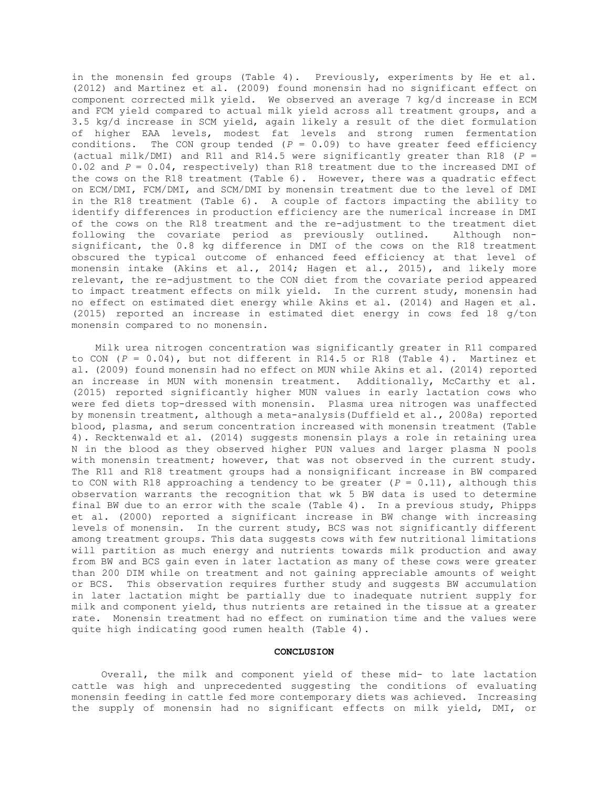in the monensin fed groups (Table 4). Previously, experiments by He et al. (2012) and Martinez et al. (2009) found monensin had no significant effect on component corrected milk yield. We observed an average 7 kg/d increase in ECM and FCM yield compared to actual milk yield across all treatment groups, and a 3.5 kg/d increase in SCM yield, again likely a result of the diet formulation of higher EAA levels, modest fat levels and strong rumen fermentation conditions. The CON group tended (*P* = 0.09) to have greater feed efficiency (actual milk/DMI) and R11 and R14.5 were significantly greater than R18 (*P* = 0.02 and *P* = 0.04, respectively) than R18 treatment due to the increased DMI of the cows on the R18 treatment (Table 6). However, there was a quadratic effect on ECM/DMI, FCM/DMI, and SCM/DMI by monensin treatment due to the level of DMI in the R18 treatment (Table 6). A couple of factors impacting the ability to identify differences in production efficiency are the numerical increase in DMI of the cows on the R18 treatment and the re-adjustment to the treatment diet<br>following the covariate period as previously outlined. Although nonfollowing the covariate period as previously outlined. significant, the 0.8 kg difference in DMI of the cows on the R18 treatment obscured the typical outcome of enhanced feed efficiency at that level of monensin intake (Akins et al., 2014; Hagen et al., 2015), and likely more relevant, the re-adjustment to the CON diet from the covariate period appeared to impact treatment effects on milk yield. In the current study, monensin had no effect on estimated diet energy while Akins et al. (2014) and Hagen et al. (2015) reported an increase in estimated diet energy in cows fed 18 g/ton monensin compared to no monensin.

 Milk urea nitrogen concentration was significantly greater in R11 compared to CON (*P* = 0.04), but not different in R14.5 or R18 (Table 4). Martinez et al. (2009) found monensin had no effect on MUN while Akins et al. (2014) reported an increase in MUN with monensin treatment. Additionally, McCarthy et al. (2015) reported significantly higher MUN values in early lactation cows who were fed diets top-dressed with monensin. Plasma urea nitrogen was unaffected by monensin treatment, although a meta-analysis(Duffield et al., 2008a) reported blood, plasma, and serum concentration increased with monensin treatment (Table 4). Recktenwald et al. (2014) suggests monensin plays a role in retaining urea N in the blood as they observed higher PUN values and larger plasma N pools with monensin treatment; however, that was not observed in the current study. The R11 and R18 treatment groups had a nonsignificant increase in BW compared to CON with R18 approaching a tendency to be greater  $(P = 0.11)$ , although this observation warrants the recognition that wk 5 BW data is used to determine final BW due to an error with the scale (Table 4). In a previous study, Phipps et al. (2000) reported a significant increase in BW change with increasing levels of monensin. In the current study, BCS was not significantly different among treatment groups. This data suggests cows with few nutritional limitations will partition as much energy and nutrients towards milk production and away from BW and BCS gain even in later lactation as many of these cows were greater than 200 DIM while on treatment and not gaining appreciable amounts of weight or BCS. This observation requires further study and suggests BW accumulation in later lactation might be partially due to inadequate nutrient supply for milk and component yield, thus nutrients are retained in the tissue at a greater rate. Monensin treatment had no effect on rumination time and the values were quite high indicating good rumen health (Table 4).

## **CONCLUSION**

 Overall, the milk and component yield of these mid- to late lactation cattle was high and unprecedented suggesting the conditions of evaluating monensin feeding in cattle fed more contemporary diets was achieved. Increasing the supply of monensin had no significant effects on milk yield, DMI, or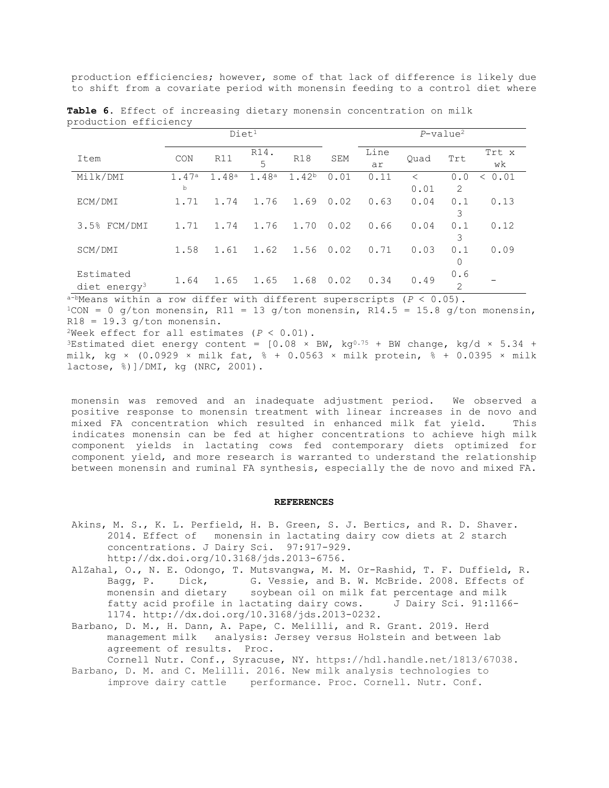production efficiencies; however, some of that lack of difference is likely due to shift from a covariate period with monensin feeding to a control diet where

|                                     |            | Diet <sup>1</sup> |           |                   |      | $P$ -value <sup>2</sup> |           |                       |               |
|-------------------------------------|------------|-------------------|-----------|-------------------|------|-------------------------|-----------|-----------------------|---------------|
| Item                                | CON        | R11               | R14.<br>5 | <b>R18</b>        | SEM  | Line<br>ar              | Ouad      | Trt                   | Trt x<br>wk   |
| Milk/DMI                            | 1.47a<br>b | 1.48a             | 1.48a     | 1.42 <sup>b</sup> | 0.01 | 0.11                    | <<br>0.01 | 0.0<br>$\overline{2}$ | 0.01<br>$\lt$ |
| ECM/DMI                             | 1.71       | 1.74              | 1.76      | 1.69              | 0.02 | 0.63                    | 0.04      | 0.1<br>3              | 0.13          |
| 3.5% FCM/DMI                        | 1.71       | 1.74              | 1.76      | 1,70              | 0.02 | 0.66                    | 0.04      | 0.1<br>3              | 0.12          |
| SCM/DMI                             | 1.58       | 1.61              | 1.62      | 1.56              | 0.02 | 0.71                    | 0.03      | 0.1<br>0              | 0.09          |
| Estimated<br>$\text{dict energy}^3$ | 1.64       | 1.65              | 1.65      | 1.68              | 0.02 | 0.34                    | 0.49      | 0.6<br>$\overline{2}$ |               |

**Table 6.** Effect of increasing dietary monensin concentration on milk production efficiency

 $a$ -bMeans within a row differ with different superscripts ( $P < 0.05$ ).

 $1$ CON = 0 g/ton monensin, R11 = 13 g/ton monensin, R14.5 = 15.8 g/ton monensin,  $R18 = 19.3$  g/ton monensin.

<sup>2</sup>Week effect for all estimates  $(P < 0.01)$ .

<sup>3</sup>Estimated diet energy content =  $[0.08 \times BW, kg^{0.75} + BW$  change, kg/d  $\times$  5.34 + milk, kg ×  $(0.0929 \times \text{milk fat}, 8 + 0.0563 \times \text{milk protein}, 8 + 0.0395 \times \text{milk})$ lactose, %)]/DMI, kg (NRC, 2001).

monensin was removed and an inadequate adjustment period. We observed a positive response to monensin treatment with linear increases in de novo and<br>mixed FA concentration which resulted in enhanced milk fat yield. This mixed FA concentration which resulted in enhanced milk fat yield. indicates monensin can be fed at higher concentrations to achieve high milk component yields in lactating cows fed contemporary diets optimized for component yield, and more research is warranted to understand the relationship between monensin and ruminal FA synthesis, especially the de novo and mixed FA.

#### **REFERENCES**

- Akins, M. S., K. L. Perfield, H. B. Green, S. J. Bertics, and R. D. Shaver. 2014. Effect of monensin in lactating dairy cow diets at 2 starch concentrations. J Dairy Sci. 97:917-929. [http://dx.doi.org/10.3168/jds.2013-6756.](http://dx.doi.org/10.3168/jds.2013-6756)
- AlZahal, O., N. E. Odongo, T. Mutsvangwa, M. M. Or-Rashid, T. F. Duffield, R.<br>Bagg, P. Dick, G. Vessie, and B. W. McBride. 2008. Effects of G. Vessie, and B. W. McBride. 2008. Effects of monensin and dietary soybean oil on milk fat percentage and milk<br>fatty acid profile in lactating dairy cows. J Dairy Sci. 91:1166fatty acid profile in lactating dairy cows. 1174.<http://dx.doi.org/10.3168/jds.2013-0232.>
- Barbano, D. M., H. Dann, A. Pape, C. Melilli, and R. Grant. 2019. Herd management milk analysis: Jersey versus Holstein and between lab agreement of results. Proc.

Cornell Nutr. Conf., Syracuse, NY. [https://hdl.handle.net/1813/67038.](https://hdl.handle.net/1813/67038) Barbano, D. M. and C. Melilli. 2016. New milk analysis technologies to

improve dairy cattle performance. Proc. Cornell. Nutr. Conf.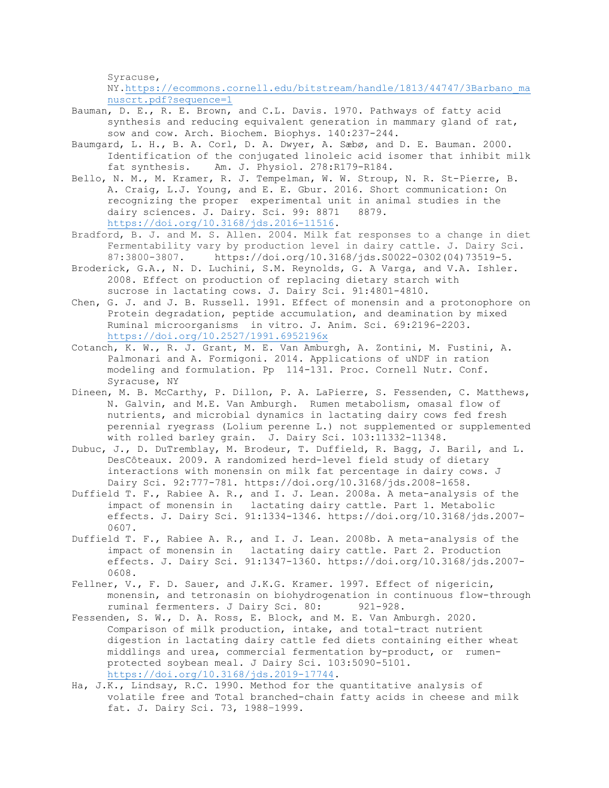Syracuse,

NY[.https://ecommons.cornell.edu/bitstream/handle/1813/44747/3Barbano\\_ma](https://ecommons.cornell.edu/bitstream/handle/1813/44747/3Barbano_manuscrt.pdf?sequence=1) [nuscrt.pdf?sequence=1](https://ecommons.cornell.edu/bitstream/handle/1813/44747/3Barbano_manuscrt.pdf?sequence=1)

Bauman, D. E., R. E. Brown, and C.L. Davis. 1970. Pathways of fatty acid synthesis and reducing equivalent generation in mammary gland of rat, sow and cow. Arch. Biochem. Biophys. 140:237-244.

- Baumgard, L. H., B. A. Corl, D. A. Dwyer, A. Sæbø, and D. E. Bauman. 2000. Identification of the conjugated linoleic acid isomer that inhibit milk fat synthesis. Am. J. Physiol. 278:R179-R184.
- Bello, N. M., M. Kramer, R. J. Tempelman, W. W. Stroup, N. R. St-Pierre, B. A. Craig, L.J. Young, and E. E. Gbur. 2016. Short communication: On recognizing the proper experimental unit in animal studies in the dairy sciences. J. Dairy. Sci. 99: 8871 8879. dairy sciences. J. Dairy. Sci. 99: 8871 [https://doi.org/10.3168/jds.2016-11516.](https://doi.org/10.3168/jds.2016-11516)
- Bradford, B. J. and M. S. Allen. 2004. Milk fat responses to a change in diet Fermentability vary by production level in dairy cattle. J. Dairy Sci.<br>87:3800-3807. https://doi.org/10.3168/jds.S0022-0302(04)73519-5. [https://doi.org/10.3168/jds.S0022-0302\(04\)73519-5.](https://doi.org/10.3168/jds.S0022-0302(04)73519-5)
- Broderick, G.A., N. D. Luchini, S.M. Reynolds, G. A Varga, and V.A. Ishler. 2008. Effect on production of replacing dietary starch with sucrose in lactating cows. J. Dairy Sci. 91:4801-4810.
- Chen, G. J. and J. B. Russell. 1991. Effect of monensin and a protonophore on Protein degradation, peptide accumulation, and deamination by mixed Ruminal microorganisms in vitro. J. Anim. Sci. 69:2196-2203. <https://doi.org/10.2527/1991.6952196x>
- Cotanch, K. W., R. J. Grant, M. E. Van Amburgh, A. Zontini, M. Fustini, A. Palmonari and A. Formigoni. 2014. Applications of uNDF in ration modeling and formulation. Pp 114-131. Proc. Cornell Nutr. Conf. Syracuse, NY
- Dineen, M. B. McCarthy, P. Dillon, P. A. LaPierre, S. Fessenden, C. Matthews, N. Galvin, and M.E. Van Amburgh. Rumen metabolism, omasal flow of nutrients, and microbial dynamics in lactating dairy cows fed fresh perennial ryegrass (Lolium perenne L.) not supplemented or supplemented with rolled barley grain. J. Dairy Sci. 103:11332-11348.
- Dubuc, J., D. DuTremblay, M. Brodeur, T. Duffield, R. Bagg, J. Baril, and L. DesCôteaux. 2009. A randomized herd-level field study of dietary interactions with monensin on milk fat percentage in dairy cows. J Dairy Sci. 92:777-781. [https://doi.org/10.3168/jds.2008-1658.](https://doi.org/10.3168/jds.2008-1658)
- Duffield T. F., Rabiee A. R., and I. J. Lean. 2008a. A meta-analysis of the impact of monensin in lactating dairy cattle. Part 1. Metabolic effects. J. Dairy Sci. 91:1334-1346. [https://doi.org/10.3168/jds.2007-](https://doi.org/10.3168/jds.2007-0607) [0607.](https://doi.org/10.3168/jds.2007-0607)
- Duffield T. F., Rabiee A. R., and I. J. Lean. 2008b. A meta-analysis of the impact of monensin in lactating dairy cattle. Part 2. Production effects. J. Dairy Sci. 91:1347-1360. [https://doi.org/10.3168/jds.2007-](https://doi.org/10.3168/jds.2007-06087) [0608.](https://doi.org/10.3168/jds.2007-06087)
- Fellner, V., F. D. Sauer, and J.K.G. Kramer. 1997. Effect of nigericin, monensin, and tetronasin on biohydrogenation in continuous flow-through<br>ruminal fermenters. J Dairy Sci. 80: 921-928. ruminal fermenters. J Dairy Sci. 80:
- Fessenden, S. W., D. A. Ross, E. Block, and M. E. Van Amburgh. 2020. Comparison of milk production, intake, and total-tract nutrient digestion in lactating dairy cattle fed diets containing either wheat middlings and urea, commercial fermentation by-product, or rumenprotected soybean meal. J Dairy Sci. 103:5090-5101. [https://doi.org/10.3168/jds.2019-17744.](https://doi.org/10.3168/jds.2019-17744)
- Ha, J.K., Lindsay, R.C. 1990. Method for the quantitative analysis of volatile free and Total branched-chain fatty acids in cheese and milk fat. J. Dairy Sci. 73, 1988–1999.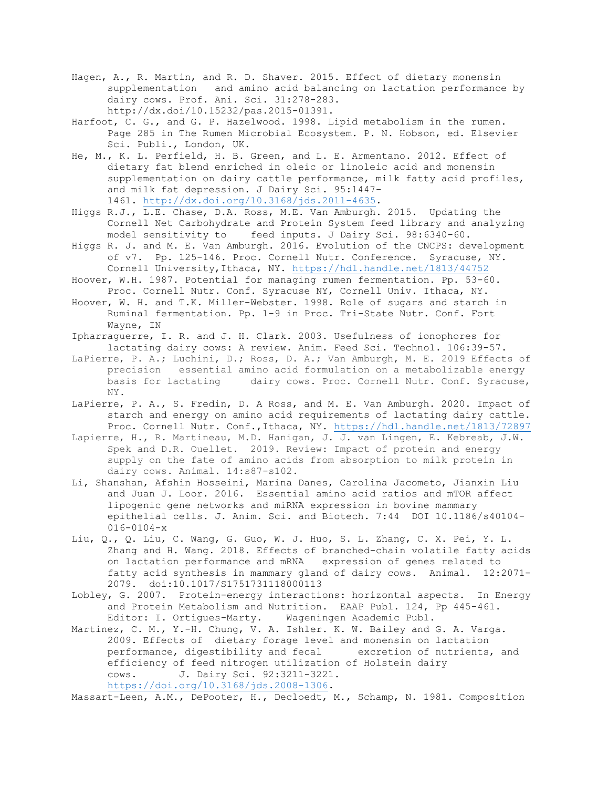- Hagen, A., R. Martin, and R. D. Shaver. 2015. Effect of dietary monensin supplementation and amino acid balancing on lactation performance by dairy cows. Prof. Ani. Sci. 31:278-283. [http://dx.doi/10.15232/pas.2015-01391.](http://dx.doi/10.15232/pas.2015-01391)
- Harfoot, C. G., and G. P. Hazelwood. 1998. Lipid metabolism in the rumen. Page 285 in The Rumen Microbial Ecosystem. P. N. Hobson, ed. Elsevier Sci. Publi., London, UK.
- He, M., K. L. Perfield, H. B. Green, and L. E. Armentano. 2012. Effect of dietary fat blend enriched in oleic or linoleic acid and monensin supplementation on dairy cattle performance, milk fatty acid profiles, and milk fat depression. J Dairy Sci. 95:1447- 1461. [http://dx.doi.org/10.3168/jds.2011-4635.](http://dx.doi.org/10.3168/jds.2011-4635)
- Higgs R.J., L.E. Chase, D.A. Ross, M.E. Van Amburgh. 2015. Updating the Cornell Net Carbohydrate and Protein System feed library and analyzing<br>model sensitivity to feed inputs. J Dairy Sci. 98:6340-60. feed inputs. J Dairy Sci. 98:6340-60.
- Higgs R. J. and M. E. Van Amburgh. 2016. Evolution of the CNCPS: development of v7. Pp. 125-146. Proc. Cornell Nutr. Conference. Syracuse, NY. Cornell University,Ithaca, NY.<https://hdl.handle.net/1813/44752>
- Hoover, W.H. 1987. Potential for managing rumen fermentation. Pp. 53-60. Proc. Cornell Nutr. Conf. Syracuse NY, Cornell Univ. Ithaca, NY.
- Hoover, W. H. and T.K. Miller-Webster. 1998. Role of sugars and starch in Ruminal fermentation. Pp. 1-9 in Proc. Tri-State Nutr. Conf. Fort Wayne, IN
- Ipharraguerre, I. R. and J. H. Clark. 2003. Usefulness of ionophores for lactating dairy cows: A review. Anim. Feed Sci. Technol. 106:39-57.
- LaPierre, P. A.; Luchini, D.; Ross, D. A.; Van Amburgh, M. E. 2019 Effects of precision essential amino acid formulation on a metabolizable energy<br>basis for lactating dairy cows. Proc. Cornell Nutr. Conf. Syracuse, dairy cows. Proc. Cornell Nutr. Conf. Syracuse, NY.
- LaPierre, P. A., S. Fredin, D. A Ross, and M. E. Van Amburgh. 2020. Impact of starch and energy on amino acid requirements of lactating dairy cattle. Proc. Cornell Nutr. Conf.,Ithaca, NY.<https://hdl.handle.net/1813/72897>
- Lapierre, H., R. Martineau, M.D. Hanigan, J. J. van Lingen, E. Kebreab, J.W. Spek and D.R. Ouellet. 2019. Review: Impact of protein and energy supply on the fate of amino acids from absorption to milk protein in dairy cows. Animal. 14:s87-s102.
- Li, Shanshan, Afshin Hosseini, Marina Danes, Carolina Jacometo, Jianxin Liu and Juan J. Loor. 2016. Essential amino acid ratios and mTOR affect lipogenic gene networks and miRNA expression in bovine mammary epithelial cells. J. Anim. Sci. and Biotech. 7:44 DOI 10.1186/s40104- 016-0104-x
- Liu, Q., Q. Liu, C. Wang, G. Guo, W. J. Huo, S. L. Zhang, C. X. Pei, Y. L. Zhang and H. Wang. 2018. Effects of branched-chain volatile fatty acids on lactation performance and mRNA expression of genes related to fatty acid synthesis in mammary gland of dairy cows. Animal. 12:2071- 2079. doi:10.1017/S1751731118000113
- Lobley, G. 2007. Protein-energy interactions: horizontal aspects. In Energy and Protein Metabolism and Nutrition. EAAP Publ. 124, Pp 445-461. Editor: I. Ortigues-Marty. Wageningen Academic Publ.
- Martinez, C. M., Y.-H. Chung, V. A. Ishler. K. W. Bailey and G. A. Varga. 2009. Effects of dietary forage level and monensin on lactation performance, digestibility and fecal excretion of nutrients, and efficiency of feed nitrogen utilization of Holstein dairy cows. J. Dairy Sci. 92:3211-3221. [https://doi.org/10.3168/jds.2008-1306.](https://doi.org/10.3168/jds.2008-1306)

Massart-Leen, A.M., DePooter, H., Decloedt, M., Schamp, N. 1981. Composition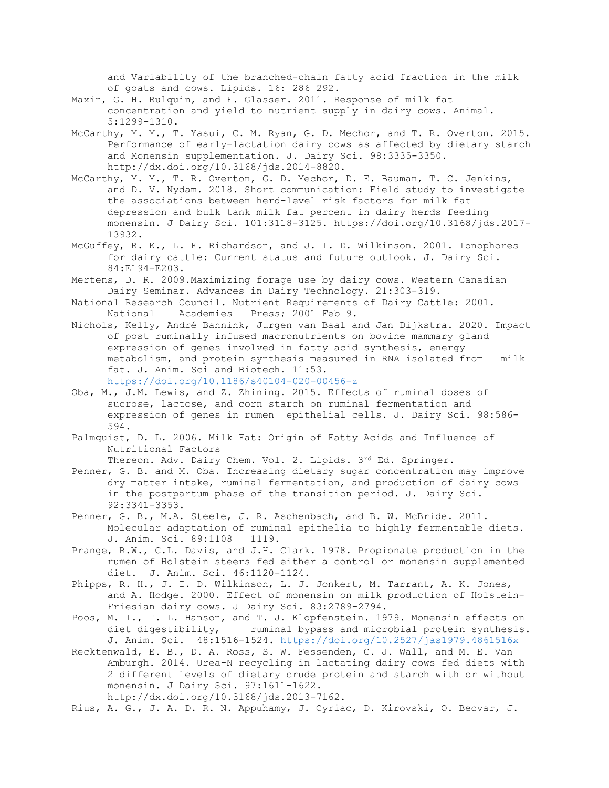and Variability of the branched-chain fatty acid fraction in the milk of goats and cows. Lipids. 16: 286–292.

- Maxin, G. H. Rulquin, and F. Glasser. 2011. Response of milk fat concentration and yield to nutrient supply in dairy cows. Animal. 5:1299-1310.
- McCarthy, M. M., T. Yasui, C. M. Ryan, G. D. Mechor, and T. R. Overton. 2015. Performance of early-lactation dairy cows as affected by dietary starch and Monensin supplementation. J. Dairy Sci. 98:3335-3350. [http://dx.doi.org/10.3168/jds.2014-8820.](http://dx.doi.org/10.3168/jds.2014-8820)
- McCarthy, M. M., T. R. Overton, G. D. Mechor, D. E. Bauman, T. C. Jenkins, and D. V. Nydam. 2018. Short communication: Field study to investigate the associations between herd-level risk factors for milk fat depression and bulk tank milk fat percent in dairy herds feeding monensin. J Dairy Sci. 101:3118-3125. [https://doi.org/10.3168/jds.2017-](https://doi.org/10.3168/jds.2017-13932) [13932.](https://doi.org/10.3168/jds.2017-13932)
- McGuffey, R. K., L. F. Richardson, and J. I. D. Wilkinson. 2001. Ionophores for dairy cattle: Current status and future outlook. J. Dairy Sci. 84:E194-E203.
- Mertens, D. R. 2009.Maximizing forage use by dairy cows. Western Canadian Dairy Seminar. Advances in Dairy Technology. 21:303-319.
- National Research Council. Nutrient Requirements of Dairy Cattle: 2001.<br>National Academies Press; 2001 Feb 9. Press; 2001 Feb 9.
- Nichols, Kelly, André Bannink, Jurgen van Baal and Jan Dijkstra. 2020. Impact of post ruminally infused macronutrients on bovine mammary gland expression of genes involved in fatty acid synthesis, energy metabolism, and protein synthesis measured in RNA isolated from milk fat. J. Anim. Sci and Biotech. 11:53. <https://doi.org/10.1186/s40104-020-00456-z>
- Oba, M., J.M. Lewis, and Z. Zhining. 2015. Effects of ruminal doses of sucrose, lactose, and corn starch on ruminal fermentation and expression of genes in rumen epithelial cells. J. Dairy Sci. 98:586- 594.
- Palmquist, D. L. 2006. Milk Fat: Origin of Fatty Acids and Influence of Nutritional Factors

Thereon. Adv. Dairy Chem. Vol. 2. Lipids. 3rd Ed. Springer.

- Penner, G. B. and M. Oba. Increasing dietary sugar concentration may improve dry matter intake, ruminal fermentation, and production of dairy cows in the postpartum phase of the transition period. J. Dairy Sci. 92:3341-3353.
- Penner, G. B., M.A. Steele, J. R. Aschenbach, and B. W. McBride. 2011. Molecular adaptation of ruminal epithelia to highly fermentable diets.<br>J. Anim. Sci. 89:1108 1119. J. Anim. Sci. 89:1108
- Prange, R.W., C.L. Davis, and J.H. Clark. 1978. Propionate production in the rumen of Holstein steers fed either a control or monensin supplemented diet. J. Anim. Sci. 46:1120-1124.
- Phipps, R. H., J. I. D. Wilkinson, L. J. Jonkert, M. Tarrant, A. K. Jones, and A. Hodge. 2000. Effect of monensin on milk production of Holstein-Friesian dairy cows. J Dairy Sci. 83:2789-2794.
- Poos, M. I., T. L. Hanson, and T. J. Klopfenstein. 1979. Monensin effects on diet digestibility, ruminal bypass and microbial protein synthesis. J. Anim. Sci. 48:1516-1524.<https://doi.org/10.2527/jas1979.4861516x>
- Recktenwald, E. B., D. A. Ross, S. W. Fessenden, C. J. Wall, and M. E. Van Amburgh. 2014. Urea-N recycling in lactating dairy cows fed diets with 2 different levels of dietary crude protein and starch with or without monensin. J Dairy Sci. 97:1611-1622. [http://dx.doi.org/10.3168/jds.2013-7162.](http://dx.doi.org/10.3168/jds.2013-7162)
- Rius, A. G., J. A. D. R. N. Appuhamy, J. Cyriac, D. Kirovski, O. Becvar, J.